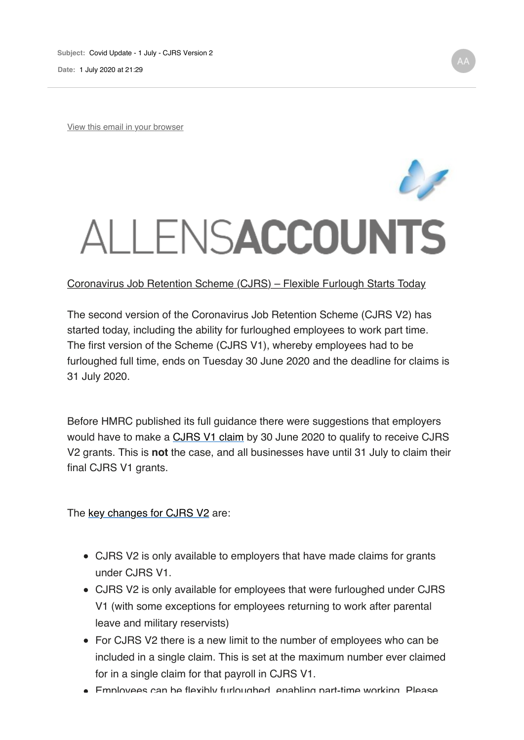**Date:** 1 July 2020 at 21:29

View this email in your browser

## ALLENSACCOUNTS

## Coronavirus Job Retention Scheme (CJRS) – Flexible Furlough Starts Today

The second version of the Coronavirus Job Retention Scheme (CJRS V2) has started today, including the ability for furloughed employees to work part time. The first version of the Scheme (CJRS V1), whereby employees had to be furloughed full time, ends on Tuesday 30 June 2020 and the deadline for claims is 31 July 2020.

Before HMRC published its full guidance there were suggestions that employers would have to make a CJRS V1 claim by 30 June 2020 to qualify to receive CJRS V2 grants. This is **not** the case, and all businesses have until 31 July to claim their final CJRS V1 grants.

The key changes for CJRS V2 are:

- CJRS V2 is only available to employers that have made claims for grants under CJRS V1.
- CJRS V2 is only available for employees that were furloughed under CJRS V1 (with some exceptions for employees returning to work after parental leave and military reservists)
- For CJRS V2 there is a new limit to the number of employees who can be included in a single claim. This is set at the maximum number ever claimed for in a single claim for that payroll in CJRS V1.
- Employees can be flexibly furloughed, enabling part-time working. Please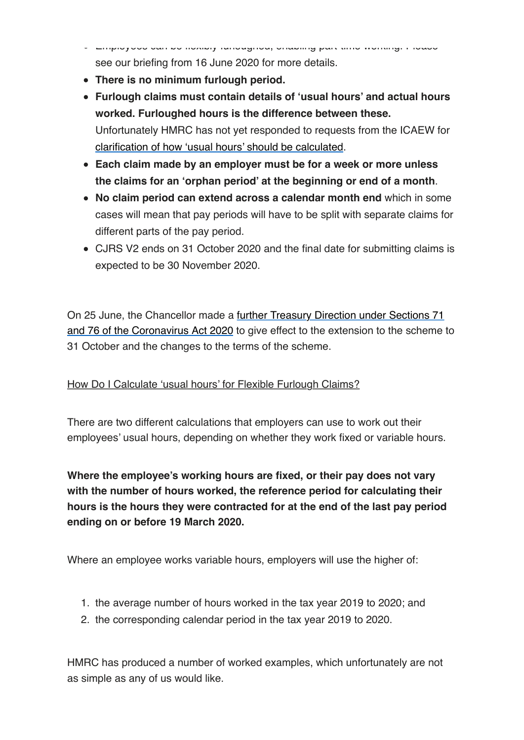- Employees can be flexibly furloughed, enabling part-time working. Please see our briefing from 16 June 2020 for more details.
- **There is no minimum furlough period.**
- **Furlough claims must contain details of 'usual hours' and actual hours worked. Furloughed hours is the difference between these.** Unfortunately HMRC has not yet responded to requests from the ICAEW for clarification of how 'usual hours' should be calculated.
- **Each claim made by an employer must be for a week or more unless the claims for an 'orphan period' at the beginning or end of a month**.
- **No claim period can extend across a calendar month end** which in some cases will mean that pay periods will have to be split with separate claims for different parts of the pay period.
- CJRS V2 ends on 31 October 2020 and the final date for submitting claims is expected to be 30 November 2020.

On 25 June, the Chancellor made a further Treasury Direction under Sections 71 and 76 of the Coronavirus Act 2020 to give effect to the extension to the scheme to 31 October and the changes to the terms of the scheme.

## How Do I Calculate 'usual hours' for Flexible Furlough Claims?

There are two different calculations that employers can use to work out their employees' usual hours, depending on whether they work fixed or variable hours.

**Where the employee's working hours are fixed, or their pay does not vary with the number of hours worked, the reference period for calculating their hours is the hours they were contracted for at the end of the last pay period ending on or before 19 March 2020.**

Where an employee works variable hours, employers will use the higher of:

- 1. the average number of hours worked in the tax year 2019 to 2020; and
- 2. the corresponding calendar period in the tax year 2019 to 2020.

HMRC has produced a number of worked examples, which unfortunately are not as simple as any of us would like.